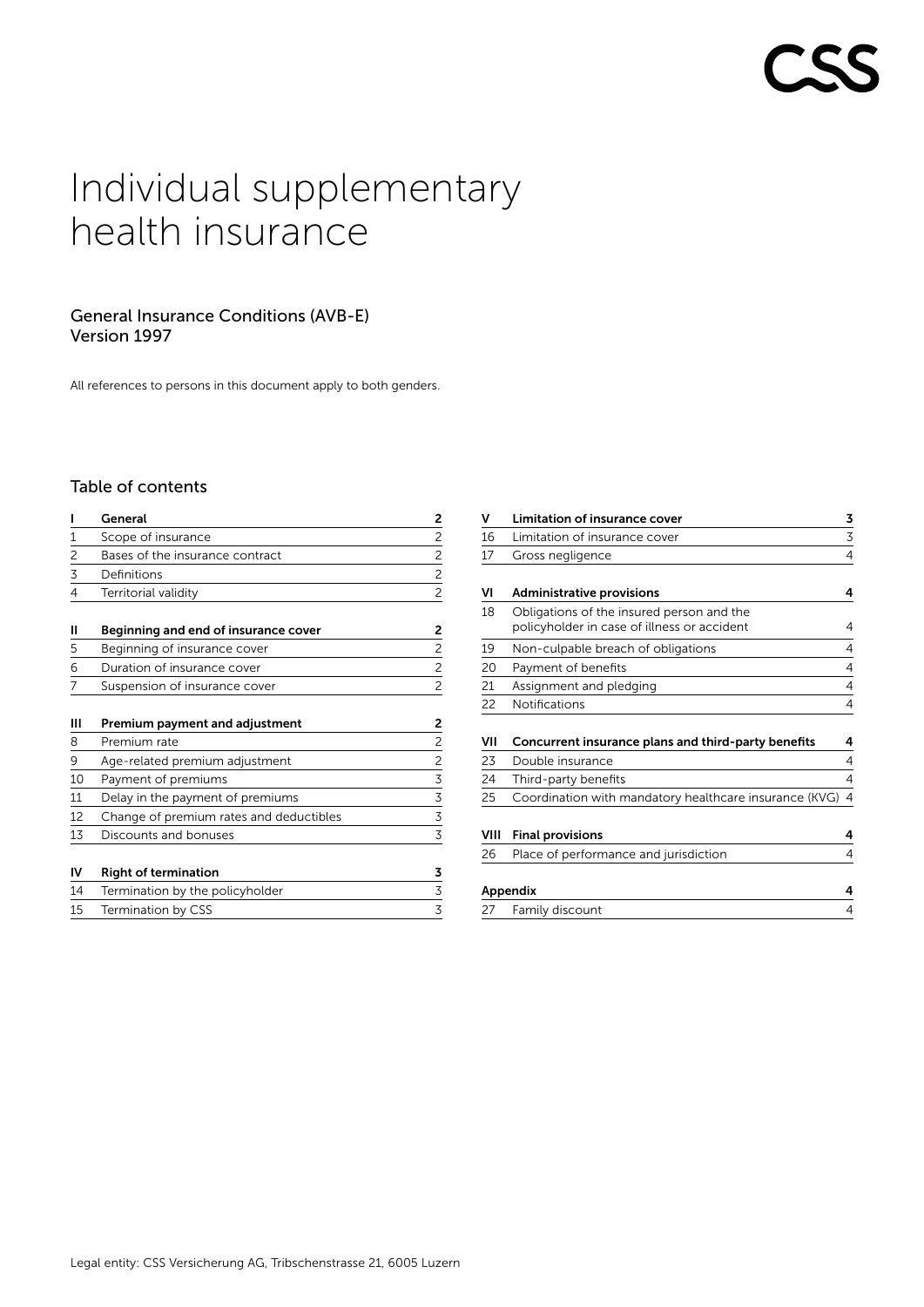# Individual supplementary health insurance

# General Insurance Conditions (AVB-E) Version 1997

All references to persons in this document apply to both genders.

# Table of contents

| ı  | General                                 | 2                       |
|----|-----------------------------------------|-------------------------|
| 1  | Scope of insurance                      | $\overline{2}$          |
| 2  | Bases of the insurance contract         | $\overline{c}$          |
| 3  | Definitions                             | $\overline{c}$          |
| 4  | Territorial validity                    | $\overline{c}$          |
| Ш  | Beginning and end of insurance cover    | 2                       |
| 5  | Beginning of insurance cover            | $\overline{2}$          |
| 6  | Duration of insurance cover             | $\overline{c}$          |
| 7  | Suspension of insurance cover           | $\overline{c}$          |
| ш  | Premium payment and adjustment          | 2                       |
| 8  | Premium rate                            | $\overline{c}$          |
| 9  | Age-related premium adjustment          | $\overline{\mathbf{c}}$ |
| 10 | Payment of premiums                     | 3                       |
| 11 | Delay in the payment of premiums        | $\overline{3}$          |
| 12 | Change of premium rates and deductibles | $\mathsf 3$             |
| 13 | Discounts and bonuses                   | 3                       |
| IV | <b>Right of termination</b>             | 3                       |
| 14 | Termination by the policyholder         | 3                       |
| 15 | Termination by CSS                      | 3                       |

| v    | Limitation of insurance cover                                                            | 3 |
|------|------------------------------------------------------------------------------------------|---|
| 16   | Limitation of insurance cover                                                            | 3 |
| 17   | Gross negligence                                                                         | 4 |
| VI   | <b>Administrative provisions</b>                                                         | 4 |
| 18   | Obligations of the insured person and the<br>policyholder in case of illness or accident | 4 |
| 19   | Non-culpable breach of obligations                                                       | 4 |
| 20   | Payment of benefits                                                                      | 4 |
| 21   | Assignment and pledging                                                                  | 4 |
| 22   | <b>Notifications</b>                                                                     | 4 |
| VII  | Concurrent insurance plans and third-party benefits                                      | 4 |
| 23   | Double insurance                                                                         | 4 |
| 24   | Third-party benefits                                                                     | 4 |
| 25   | Coordination with mandatory healthcare insurance (KVG)                                   | 4 |
| VIII | <b>Final provisions</b>                                                                  | 4 |

| 26 | Place of performance and jurisdiction |  |
|----|---------------------------------------|--|
|    | Appendix                              |  |
|    | 27 Family discount                    |  |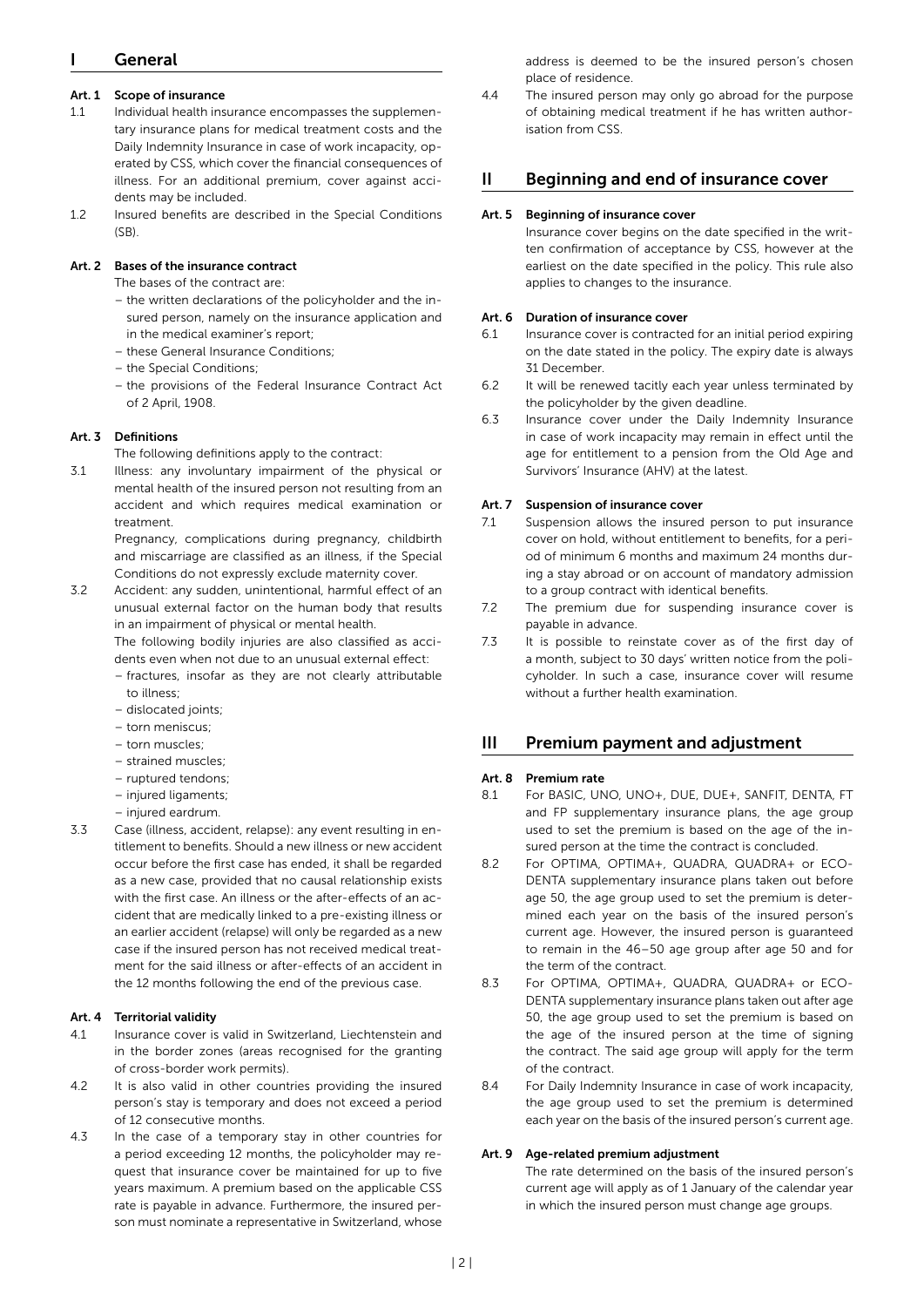# <span id="page-1-0"></span>**General**

## Art. 1 Scope of insurance

- 1.1 Individual health insurance encompasses the supplementary insurance plans for medical treatment costs and the Daily Indemnity Insurance in case of work incapacity, operated by CSS, which cover the financial consequences of illness. For an additional premium, cover against accidents may be included.
- 1.2 Insured benefits are described in the Special Conditions  $(SB)$

### Art. 2 Bases of the insurance contract

The bases of the contract are:

- the written declarations of the policyholder and the insured person, namely on the insurance application and in the medical examiner's report;
- these General Insurance Conditions;
- the Special Conditions;
- the provisions of the Federal Insurance Contract Act of 2 April, 1908.

#### Art. 3 Definitions

The following definitions apply to the contract:

3.1 Illness: any involuntary impairment of the physical or mental health of the insured person not resulting from an accident and which requires medical examination or treatment.

> Pregnancy, complications during pregnancy, childbirth and miscarriage are classified as an illness, if the Special Conditions do not expressly exclude maternity cover.

3.2 Accident: any sudden, unintentional, harmful effect of an unusual external factor on the human body that results in an impairment of physical or mental health.

> The following bodily injuries are also classified as accidents even when not due to an unusual external effect:

- fractures, insofar as they are not clearly attributable to illness;
- dislocated joints;
- torn meniscus;
- torn muscles;
- strained muscles;
- ruptured tendons;
- injured ligaments;
- injured eardrum.
- 3.3 Case (illness, accident, relapse): any event resulting in entitlement to benefits. Should a new illness or new accident occur before the first case has ended, it shall be regarded as a new case, provided that no causal relationship exists with the first case. An illness or the after-effects of an accident that are medically linked to a pre-existing illness or an earlier accident (relapse) will only be regarded as a new case if the insured person has not received medical treatment for the said illness or after-effects of an accident in the 12 months following the end of the previous case.

#### Art. 4 Territorial validity

- 4.1 Insurance cover is valid in Switzerland, Liechtenstein and in the border zones (areas recognised for the granting of cross-border work permits).
- 4.2 It is also valid in other countries providing the insured person's stay is temporary and does not exceed a period of 12 consecutive months.
- 4.3 In the case of a temporary stay in other countries for a period exceeding 12 months, the policyholder may request that insurance cover be maintained for up to five years maximum. A premium based on the applicable CSS rate is payable in advance. Furthermore, the insured person must nominate a representative in Switzerland, whose

address is deemed to be the insured person's chosen place of residence.

4.4 The insured person may only go abroad for the purpose of obtaining medical treatment if he has written authorisation from CSS.

# II Beginning and end of insurance cover

#### Art. 5 Beginning of insurance cover

Insurance cover begins on the date specified in the written confirmation of acceptance by CSS, however at the earliest on the date specified in the policy. This rule also applies to changes to the insurance.

#### Art. 6 Duration of insurance cover

- 6.1 Insurance cover is contracted for an initial period expiring on the date stated in the policy. The expiry date is always 31 December.
- 6.2 It will be renewed tacitly each year unless terminated by the policyholder by the given deadline.
- 6.3 Insurance cover under the Daily Indemnity Insurance in case of work incapacity may remain in effect until the age for entitlement to a pension from the Old Age and Survivors' Insurance (AHV) at the latest.

#### Art. 7 Suspension of insurance cover

- 7.1 Suspension allows the insured person to put insurance cover on hold, without entitlement to benefits, for a period of minimum 6 months and maximum 24 months during a stay abroad or on account of mandatory admission to a group contract with identical benefits.
- 7.2 The premium due for suspending insurance cover is payable in advance.
- 7.3 It is possible to reinstate cover as of the first day of a month, subject to 30 days' written notice from the policyholder. In such a case, insurance cover will resume without a further health examination.

# III Premium payment and adjustment

#### Art. 8 Premium rate

- 8.1 For BASIC, UNO, UNO+, DUE, DUE+, SANFIT, DENTA, FT and FP supplementary insurance plans, the age group used to set the premium is based on the age of the insured person at the time the contract is concluded.
- 8.2 For OPTIMA, OPTIMA+, QUADRA, QUADRA+ or ECO-DENTA supplementary insurance plans taken out before age 50, the age group used to set the premium is determined each year on the basis of the insured person's current age. However, the insured person is guaranteed to remain in the 46–50 age group after age 50 and for the term of the contract.
- 8.3 For OPTIMA, OPTIMA+, QUADRA, QUADRA+ or ECO-DENTA supplementary insurance plans taken out after age 50, the age group used to set the premium is based on the age of the insured person at the time of signing the contract. The said age group will apply for the term of the contract.
- 8.4 For Daily Indemnity Insurance in case of work incapacity, the age group used to set the premium is determined each year on the basis of the insured person's current age.

#### Art. 9 Age-related premium adjustment

The rate determined on the basis of the insured person's current age will apply as of 1 January of the calendar year in which the insured person must change age groups.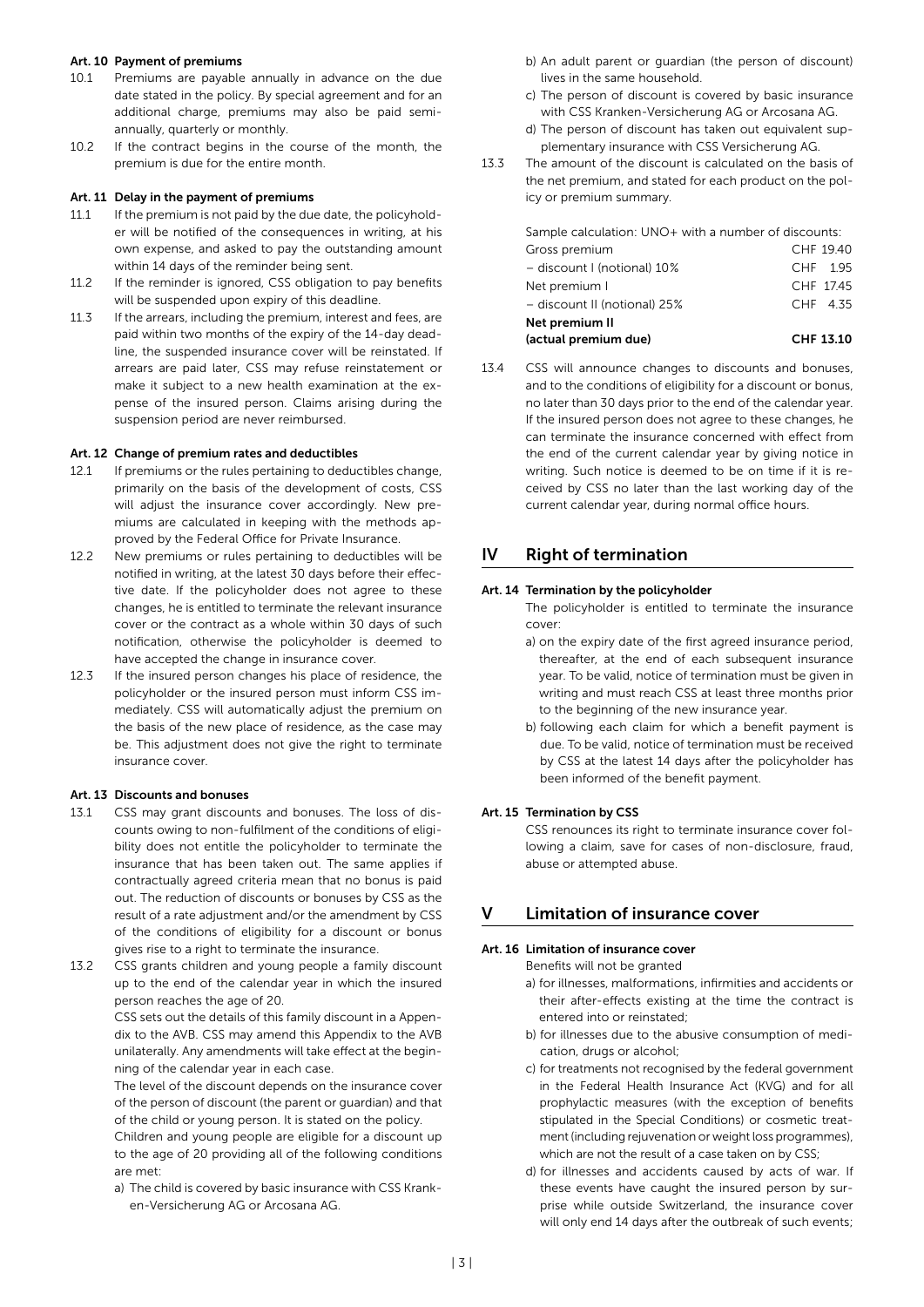#### <span id="page-2-0"></span>Art. 10 Payment of premiums

- 10.1 Premiums are payable annually in advance on the due date stated in the policy. By special agreement and for an additional charge, premiums may also be paid semiannually, quarterly or monthly.
- 10.2 If the contract begins in the course of the month, the premium is due for the entire month.

#### Art. 11 Delay in the payment of premiums

- 11.1 If the premium is not paid by the due date, the policyholder will be notified of the consequences in writing, at his own expense, and asked to pay the outstanding amount within 14 days of the reminder being sent.
- 11.2 If the reminder is ignored, CSS obligation to pay benefits will be suspended upon expiry of this deadline.
- 11.3 If the arrears, including the premium, interest and fees, are paid within two months of the expiry of the 14-day deadline, the suspended insurance cover will be reinstated. If arrears are paid later, CSS may refuse reinstatement or make it subject to a new health examination at the expense of the insured person. Claims arising during the suspension period are never reimbursed.

#### Art. 12 Change of premium rates and deductibles

- 12.1 If premiums or the rules pertaining to deductibles change, primarily on the basis of the development of costs, CSS will adjust the insurance cover accordingly. New premiums are calculated in keeping with the methods approved by the Federal Office for Private Insurance.
- 12.2 New premiums or rules pertaining to deductibles will be notified in writing, at the latest 30 days before their effective date. If the policyholder does not agree to these changes, he is entitled to terminate the relevant insurance cover or the contract as a whole within 30 days of such notification, otherwise the policyholder is deemed to have accepted the change in insurance cover.
- 12.3 If the insured person changes his place of residence, the policyholder or the insured person must inform CSS immediately. CSS will automatically adjust the premium on the basis of the new place of residence, as the case may be. This adjustment does not give the right to terminate insurance cover.

#### Art. 13 Discounts and bonuses

- 13.1 CSS may grant discounts and bonuses. The loss of discounts owing to non-fulfilment of the conditions of eligibility does not entitle the policyholder to terminate the insurance that has been taken out. The same applies if contractually agreed criteria mean that no bonus is paid out. The reduction of discounts or bonuses by CSS as the result of a rate adjustment and/or the amendment by CSS of the conditions of eligibility for a discount or bonus gives rise to a right to terminate the insurance.
- 13.2 CSS grants children and young people a family discount up to the end of the calendar year in which the insured person reaches the age of 20.

CSS sets out the details of this family discount in a Appendix to the AVB. CSS may amend this Appendix to the AVB unilaterally. Any amendments will take effect at the beginning of the calendar year in each case.

The level of the discount depends on the insurance cover of the person of discount (the parent or guardian) and that of the child or young person. It is stated on the policy.

Children and young people are eligible for a discount up to the age of 20 providing all of the following conditions are met:

a) The child is covered by basic insurance with CSS Kranken-Versicherung AG or Arcosana AG.

- b) An adult parent or guardian (the person of discount) lives in the same household.
- c) The person of discount is covered by basic insurance with CSS Kranken-Versicherung AG or Arcosana AG.
- d) The person of discount has taken out equivalent supplementary insurance with CSS Versicherung AG.
- 13.3 The amount of the discount is calculated on the basis of the net premium, and stated for each product on the policy or premium summary.

Sample calculation: UNO+ with a number of discounts:

| (actual premium due)         | CHF 13.10 |
|------------------------------|-----------|
| Net premium II               |           |
| - discount II (notional) 25% | CHF 4.35  |
| Net premium I                | CHF 17.45 |
| - discount I (notional) 10%  | CHF 1.95  |
| Gross premium                | CHF 19.40 |

13.4 CSS will announce changes to discounts and bonuses, and to the conditions of eligibility for a discount or bonus, no later than 30 days prior to the end of the calendar year. If the insured person does not agree to these changes, he can terminate the insurance concerned with effect from the end of the current calendar year by giving notice in writing. Such notice is deemed to be on time if it is received by CSS no later than the last working day of the current calendar year, during normal office hours.

# IV Right of termination

#### Art. 14 Termination by the policyholder

The policyholder is entitled to terminate the insurance cover:

- a) on the expiry date of the first agreed insurance period, thereafter, at the end of each subsequent insurance year. To be valid, notice of termination must be given in writing and must reach CSS at least three months prior to the beginning of the new insurance year.
- b) following each claim for which a benefit payment is due. To be valid, notice of termination must be received by CSS at the latest 14 days after the policyholder has been informed of the benefit payment.

#### Art. 15 Termination by CSS

CSS renounces its right to terminate insurance cover following a claim, save for cases of non-disclosure, fraud, abuse or attempted abuse.

#### V Limitation of insurance cover

#### Art. 16 Limitation of insurance cover

Benefits will not be granted

- a) for illnesses, malformations, infirmities and accidents or their after-effects existing at the time the contract is entered into or reinstated;
- b) for illnesses due to the abusive consumption of medication, drugs or alcohol;
- c) for treatments not recognised by the federal government in the Federal Health Insurance Act (KVG) and for all prophylactic measures (with the exception of benefits stipulated in the Special Conditions) or cosmetic treatment (including rejuvenation or weight loss programmes), which are not the result of a case taken on by CSS;
- d) for illnesses and accidents caused by acts of war. If these events have caught the insured person by surprise while outside Switzerland, the insurance cover will only end 14 days after the outbreak of such events;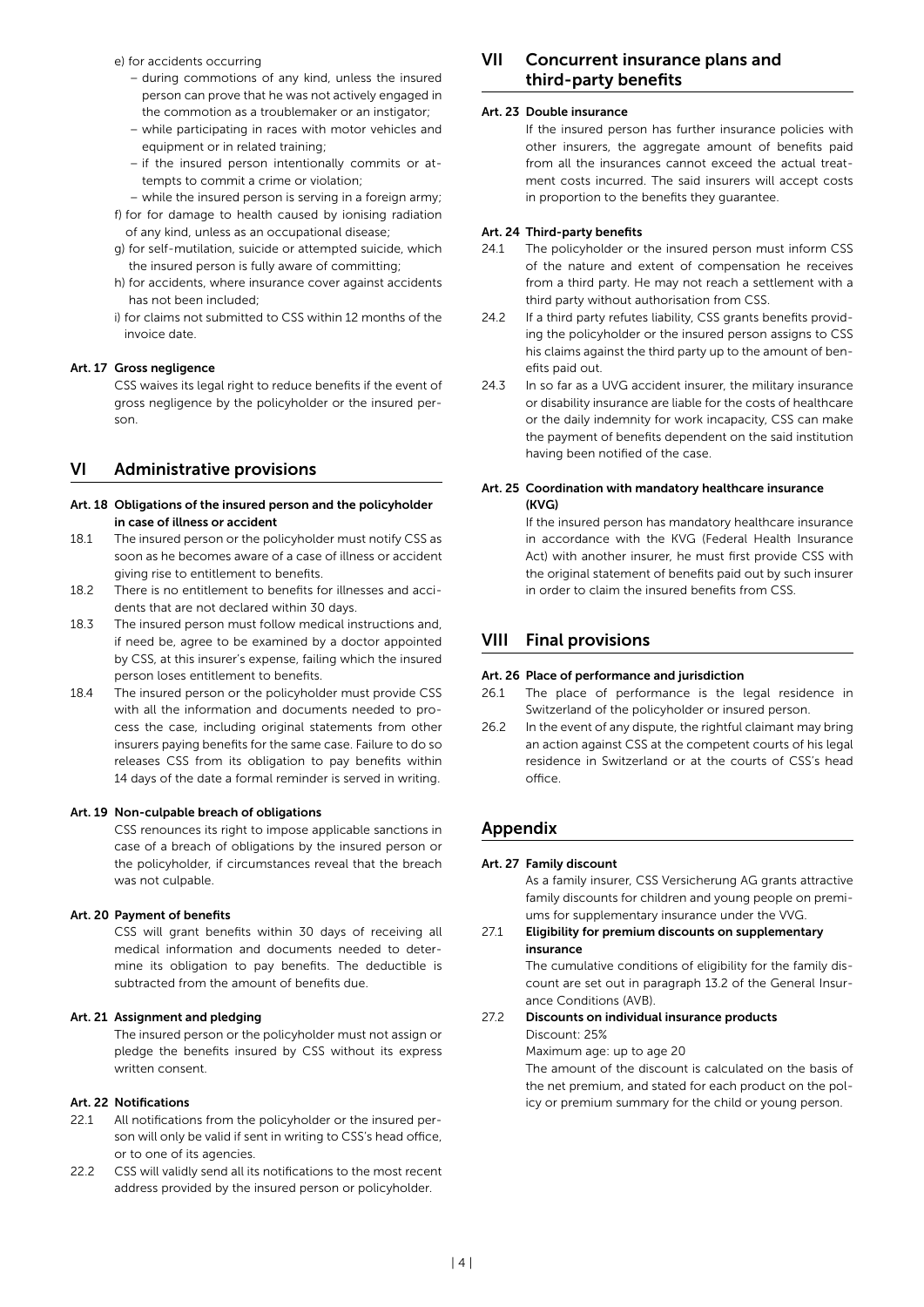<span id="page-3-0"></span>e) for accidents occurring

- during commotions of any kind, unless the insured person can prove that he was not actively engaged in the commotion as a troublemaker or an instigator;
- while participating in races with motor vehicles and equipment or in related training;
- if the insured person intentionally commits or attempts to commit a crime or violation;
- while the insured person is serving in a foreign army;
- f) for for damage to health caused by ionising radiation of any kind, unless as an occupational disease;
- g) for self-mutilation, suicide or attempted suicide, which the insured person is fully aware of committing;
- h) for accidents, where insurance cover against accidents has not been included;
- i) for claims not submitted to CSS within 12 months of the invoice date.

#### Art. 17 Gross negligence

CSS waives its legal right to reduce benefits if the event of gross negligence by the policyholder or the insured person.

# VI Administrative provisions

#### Art. 18 Obligations of the insured person and the policyholder in case of illness or accident

- 18.1 The insured person or the policyholder must notify CSS as soon as he becomes aware of a case of illness or accident giving rise to entitlement to benefits.
- 18.2 There is no entitlement to benefits for illnesses and accidents that are not declared within 30 days.
- 18.3 The insured person must follow medical instructions and, if need be, agree to be examined by a doctor appointed by CSS, at this insurer's expense, failing which the insured person loses entitlement to benefits.
- 18.4 The insured person or the policyholder must provide CSS with all the information and documents needed to process the case, including original statements from other insurers paying benefits for the same case. Failure to do so releases CSS from its obligation to pay benefits within 14 days of the date a formal reminder is served in writing.

#### Art. 19 Non-culpable breach of obligations

CSS renounces its right to impose applicable sanctions in case of a breach of obligations by the insured person or the policyholder, if circumstances reveal that the breach was not culpable.

#### Art. 20 Payment of benefits

CSS will grant benefits within 30 days of receiving all medical information and documents needed to determine its obligation to pay benefits. The deductible is subtracted from the amount of benefits due.

#### Art. 21 Assignment and pledging

The insured person or the policyholder must not assign or pledge the benefits insured by CSS without its express written consent.

#### Art. 22 Notifications

- 22.1 All notifications from the policyholder or the insured person will only be valid if sent in writing to CSS's head office, or to one of its agencies.
- 22.2 CSS will validly send all its notifications to the most recent address provided by the insured person or policyholder.

# VII Concurrent insurance plans and third-party benefits

#### Art. 23 Double insurance

If the insured person has further insurance policies with other insurers, the aggregate amount of benefits paid from all the insurances cannot exceed the actual treatment costs incurred. The said insurers will accept costs in proportion to the benefits they guarantee.

#### Art. 24 Third-party benefits

- 24.1 The policyholder or the insured person must inform CSS of the nature and extent of compensation he receives from a third party. He may not reach a settlement with a third party without authorisation from CSS.
- 24.2 If a third party refutes liability, CSS grants benefits providing the policyholder or the insured person assigns to CSS his claims against the third party up to the amount of benefits paid out.
- 24.3 In so far as a UVG accident insurer, the military insurance or disability insurance are liable for the costs of healthcare or the daily indemnity for work incapacity, CSS can make the payment of benefits dependent on the said institution having been notified of the case.

#### Art. 25 Coordination with mandatory healthcare insurance (KVG)

If the insured person has mandatory healthcare insurance in accordance with the KVG (Federal Health Insurance Act) with another insurer, he must first provide CSS with the original statement of benefits paid out by such insurer in order to claim the insured benefits from CSS.

# VIII Final provisions

#### Art. 26 Place of performance and jurisdiction

- 26.1 The place of performance is the legal residence in Switzerland of the policyholder or insured person.
- 26.2 In the event of any dispute, the rightful claimant may bring an action against CSS at the competent courts of his legal residence in Switzerland or at the courts of CSS's head office.

# Appendix

#### Art. 27 Family discount

As a family insurer, CSS Versicherung AG grants attractive family discounts for children and young people on premiums for supplementary insurance under the VVG.

#### 27.1 Eligibility for premium discounts on supplementary insurance

The cumulative conditions of eligibility for the family discount are set out in paragraph 13.2 of the General Insurance Conditions (AVB).

#### 27.2 Discounts on individual insurance products

Discount: 25%

#### Maximum age: up to age 20

The amount of the discount is calculated on the basis of the net premium, and stated for each product on the policy or premium summary for the child or young person.